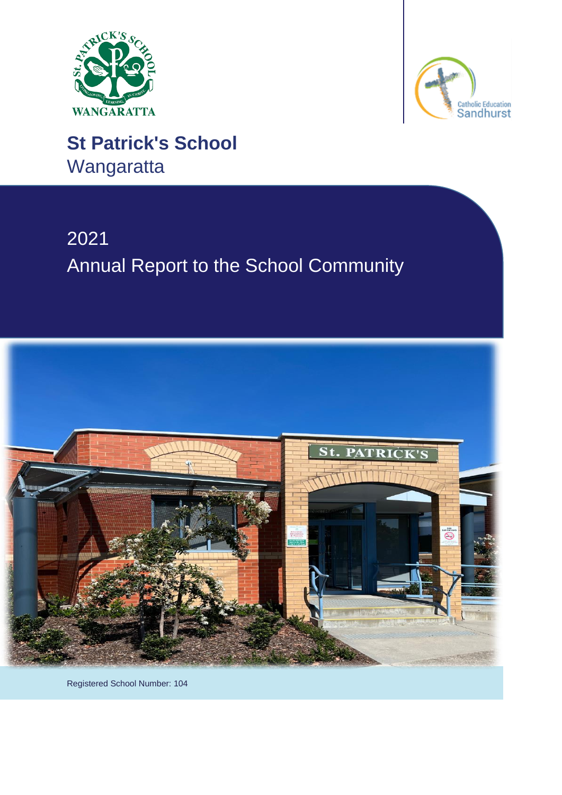



# **St Patrick's School Wangaratta**

# 2021 Annual Report to the School Community



Registered School Number: 104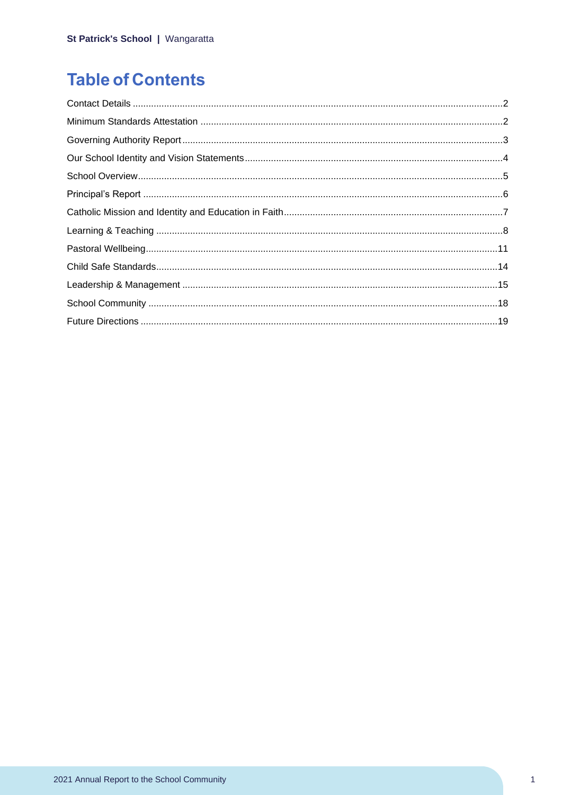## **Table of Contents**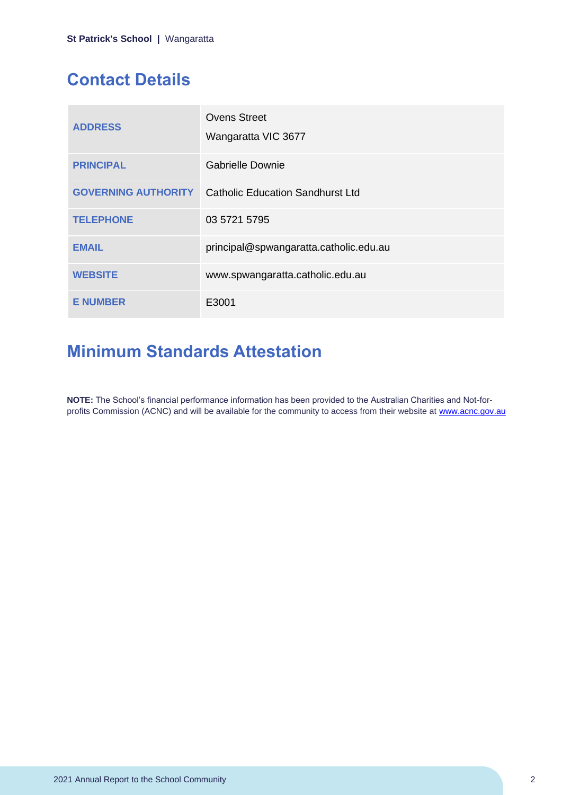### <span id="page-2-0"></span>**Contact Details**

| <b>ADDRESS</b>             | Ovens Street<br>Wangaratta VIC 3677     |
|----------------------------|-----------------------------------------|
| <b>PRINCIPAL</b>           | <b>Gabrielle Downie</b>                 |
| <b>GOVERNING AUTHORITY</b> | <b>Catholic Education Sandhurst Ltd</b> |
| <b>TELEPHONE</b>           | 03 5721 5795                            |
| <b>EMAIL</b>               | principal@spwangaratta.catholic.edu.au  |
| <b>WEBSITE</b>             | www.spwangaratta.catholic.edu.au        |
| <b>E NUMBER</b>            | E3001                                   |

## <span id="page-2-1"></span>**Minimum Standards Attestation**

**NOTE:** The School's financial performance information has been provided to the Australian Charities and Not-forprofits Commission (ACNC) and will be available for the community to access from their website at [www.acnc.gov.au](http://www.acnc.gov.au/)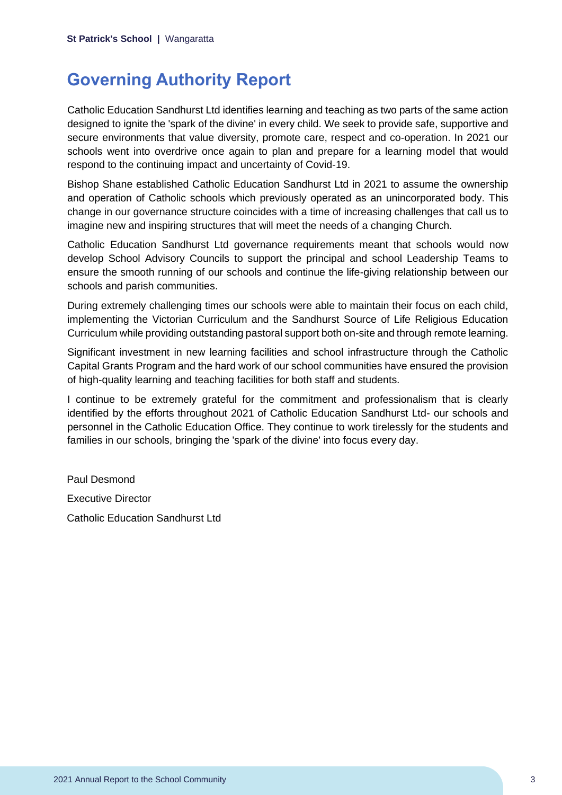### <span id="page-3-0"></span>**Governing Authority Report**

Catholic Education Sandhurst Ltd identifies learning and teaching as two parts of the same action designed to ignite the 'spark of the divine' in every child. We seek to provide safe, supportive and secure environments that value diversity, promote care, respect and co-operation. In 2021 our schools went into overdrive once again to plan and prepare for a learning model that would respond to the continuing impact and uncertainty of Covid-19.

Bishop Shane established Catholic Education Sandhurst Ltd in 2021 to assume the ownership and operation of Catholic schools which previously operated as an unincorporated body. This change in our governance structure coincides with a time of increasing challenges that call us to imagine new and inspiring structures that will meet the needs of a changing Church.

Catholic Education Sandhurst Ltd governance requirements meant that schools would now develop School Advisory Councils to support the principal and school Leadership Teams to ensure the smooth running of our schools and continue the life-giving relationship between our schools and parish communities.

During extremely challenging times our schools were able to maintain their focus on each child, implementing the Victorian Curriculum and the Sandhurst Source of Life Religious Education Curriculum while providing outstanding pastoral support both on-site and through remote learning.

Significant investment in new learning facilities and school infrastructure through the Catholic Capital Grants Program and the hard work of our school communities have ensured the provision of high-quality learning and teaching facilities for both staff and students.

I continue to be extremely grateful for the commitment and professionalism that is clearly identified by the efforts throughout 2021 of Catholic Education Sandhurst Ltd- our schools and personnel in the Catholic Education Office. They continue to work tirelessly for the students and families in our schools, bringing the 'spark of the divine' into focus every day.

Paul Desmond Executive Director

Catholic Education Sandhurst Ltd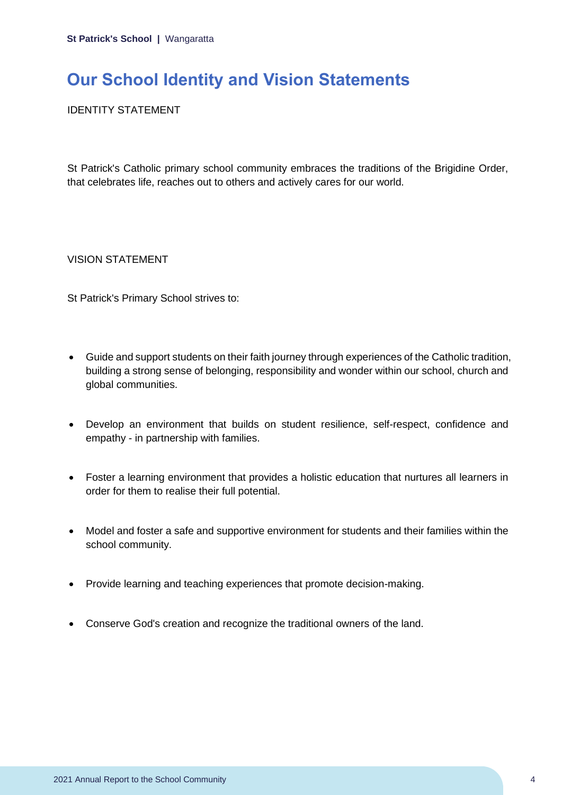### <span id="page-4-0"></span>**Our School Identity and Vision Statements**

IDENTITY STATEMENT

St Patrick's Catholic primary school community embraces the traditions of the Brigidine Order, that celebrates life, reaches out to others and actively cares for our world.

VISION STATEMENT

St Patrick's Primary School strives to:

- Guide and support students on their faith journey through experiences of the Catholic tradition, building a strong sense of belonging, responsibility and wonder within our school, church and global communities.
- Develop an environment that builds on student resilience, self-respect, confidence and empathy - in partnership with families.
- Foster a learning environment that provides a holistic education that nurtures all learners in order for them to realise their full potential.
- Model and foster a safe and supportive environment for students and their families within the school community.
- Provide learning and teaching experiences that promote decision-making.
- Conserve God's creation and recognize the traditional owners of the land.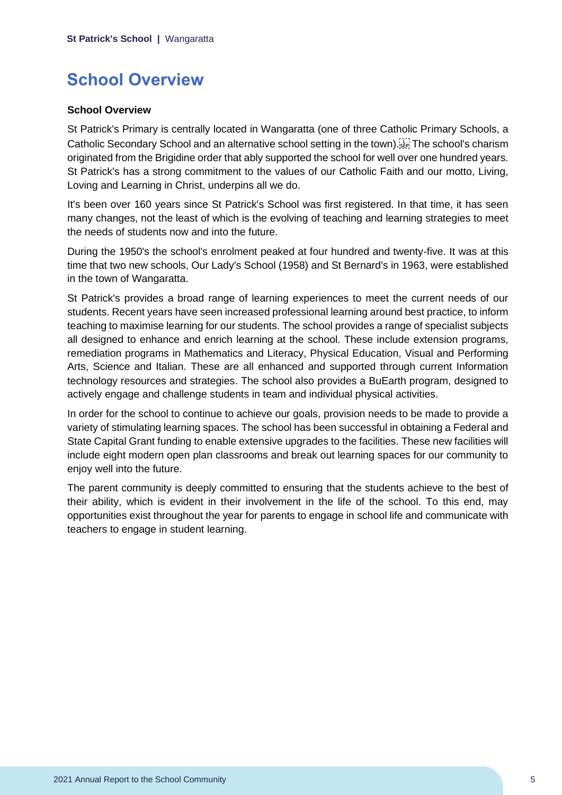### <span id="page-5-0"></span>**School Overview**

#### **School Overview**

St Patrick's Primary is centrally located in Wangaratta (one of three Catholic Primary Schools, a Catholic Secondary School and an alternative school setting in the town). The school's charism originated from the Brigidine order that ably supported the school for well over one hundred years. St Patrick's has a strong commitment to the values of our Catholic Faith and our motto, Living, Loving and Learning in Christ, underpins all we do.

It's been over 160 years since St Patrick's School was first registered. In that time, it has seen many changes, not the least of which is the evolving of teaching and learning strategies to meet the needs of students now and into the future.

During the 1950's the school's enrolment peaked at four hundred and twenty-five. It was at this time that two new schools, Our Lady's School (1958) and St Bernard's in 1963, were established in the town of Wangaratta.

St Patrick's provides a broad range of learning experiences to meet the current needs of our students. Recent years have seen increased professional learning around best practice, to inform teaching to maximise learning for our students. The school provides a range of specialist subjects all designed to enhance and enrich learning at the school. These include extension programs, remediation programs in Mathematics and Literacy, Physical Education, Visual and Performing Arts, Science and Italian. These are all enhanced and supported through current Information technology resources and strategies. The school also provides a BuEarth program, designed to actively engage and challenge students in team and individual physical activities.

In order for the school to continue to achieve our goals, provision needs to be made to provide a variety of stimulating learning spaces. The school has been successful in obtaining a Federal and State Capital Grant funding to enable extensive upgrades to the facilities. These new facilities will include eight modern open plan classrooms and break out learning spaces for our community to enjoy well into the future.

The parent community is deeply committed to ensuring that the students achieve to the best of their ability, which is evident in their involvement in the life of the school. To this end, may opportunities exist throughout the year for parents to engage in school life and communicate with teachers to engage in student learning.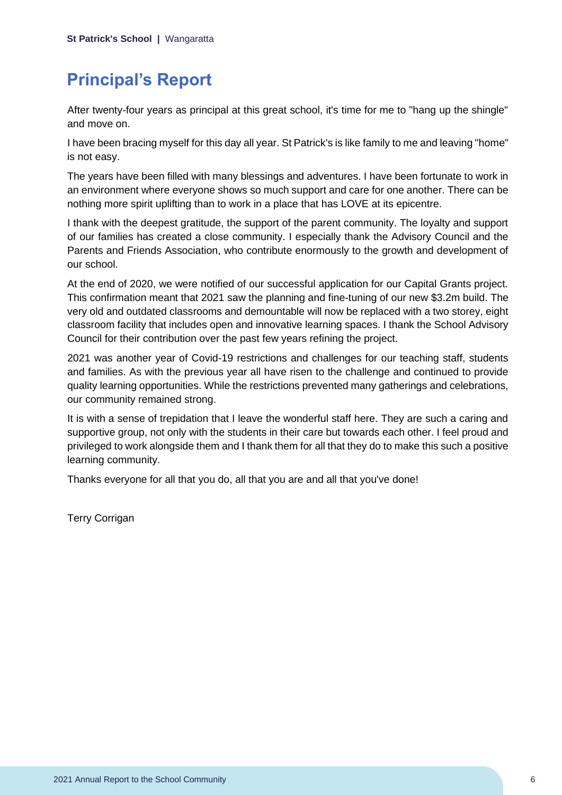### <span id="page-6-0"></span>**Principal's Report**

After twenty-four years as principal at this great school, it's time for me to "hang up the shingle" and move on.

I have been bracing myself for this day all year. St Patrick's is like family to me and leaving "home" is not easy.

The years have been filled with many blessings and adventures. I have been fortunate to work in an environment where everyone shows so much support and care for one another. There can be nothing more spirit uplifting than to work in a place that has LOVE at its epicentre.

I thank with the deepest gratitude, the support of the parent community. The loyalty and support of our families has created a close community. I especially thank the Advisory Council and the Parents and Friends Association, who contribute enormously to the growth and development of our school.

At the end of 2020, we were notified of our successful application for our Capital Grants project. This confirmation meant that 2021 saw the planning and fine-tuning of our new \$3.2m build. The very old and outdated classrooms and demountable will now be replaced with a two storey, eight classroom facility that includes open and innovative learning spaces. I thank the School Advisory Council for their contribution over the past few years refining the project.

2021 was another year of Covid-19 restrictions and challenges for our teaching staff, students and families. As with the previous year all have risen to the challenge and continued to provide quality learning opportunities. While the restrictions prevented many gatherings and celebrations, our community remained strong.

It is with a sense of trepidation that I leave the wonderful staff here. They are such a caring and supportive group, not only with the students in their care but towards each other. I feel proud and privileged to work alongside them and I thank them for all that they do to make this such a positive learning community.

Thanks everyone for all that you do, all that you are and all that you've done!

Terry Corrigan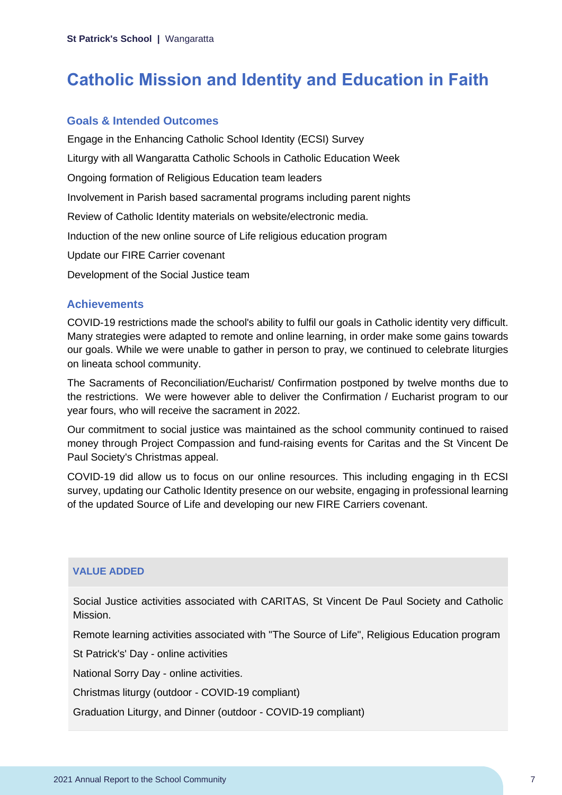### <span id="page-7-0"></span>**Catholic Mission and Identity and Education in Faith**

#### **Goals & Intended Outcomes**

Engage in the Enhancing Catholic School Identity (ECSI) Survey Liturgy with all Wangaratta Catholic Schools in Catholic Education Week Ongoing formation of Religious Education team leaders Involvement in Parish based sacramental programs including parent nights Review of Catholic Identity materials on website/electronic media. Induction of the new online source of Life religious education program Update our FIRE Carrier covenant Development of the Social Justice team

#### **Achievements**

COVID-19 restrictions made the school's ability to fulfil our goals in Catholic identity very difficult. Many strategies were adapted to remote and online learning, in order make some gains towards our goals. While we were unable to gather in person to pray, we continued to celebrate liturgies on lineata school community.

The Sacraments of Reconciliation/Eucharist/ Confirmation postponed by twelve months due to the restrictions. We were however able to deliver the Confirmation / Eucharist program to our year fours, who will receive the sacrament in 2022.

Our commitment to social justice was maintained as the school community continued to raised money through Project Compassion and fund-raising events for Caritas and the St Vincent De Paul Society's Christmas appeal.

COVID-19 did allow us to focus on our online resources. This including engaging in th ECSI survey, updating our Catholic Identity presence on our website, engaging in professional learning of the updated Source of Life and developing our new FIRE Carriers covenant.

#### **VALUE ADDED**

Social Justice activities associated with CARITAS, St Vincent De Paul Society and Catholic Mission.

Remote learning activities associated with "The Source of Life", Religious Education program

St Patrick's' Day - online activities

National Sorry Day - online activities.

Christmas liturgy (outdoor - COVID-19 compliant)

Graduation Liturgy, and Dinner (outdoor - COVID-19 compliant)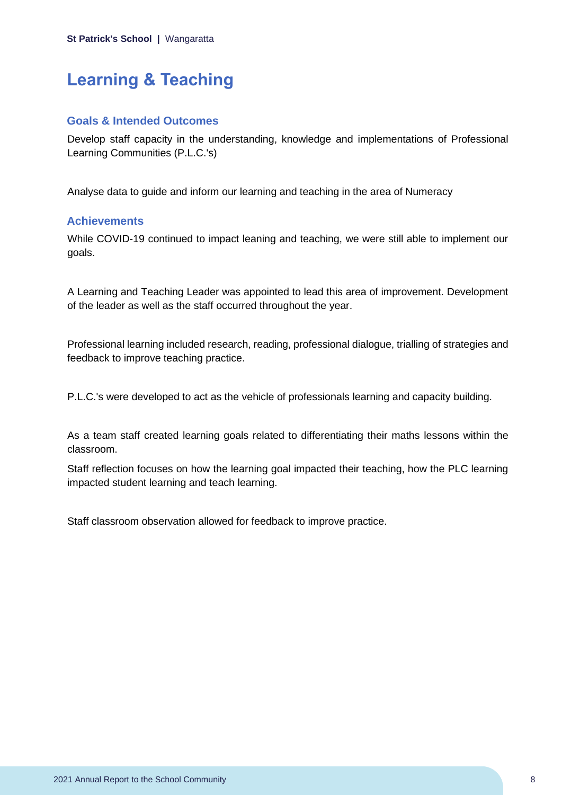### <span id="page-8-0"></span>**Learning & Teaching**

#### **Goals & Intended Outcomes**

Develop staff capacity in the understanding, knowledge and implementations of Professional Learning Communities (P.L.C.'s)

Analyse data to guide and inform our learning and teaching in the area of Numeracy

#### **Achievements**

While COVID-19 continued to impact leaning and teaching, we were still able to implement our goals.

A Learning and Teaching Leader was appointed to lead this area of improvement. Development of the leader as well as the staff occurred throughout the year.

Professional learning included research, reading, professional dialogue, trialling of strategies and feedback to improve teaching practice.

P.L.C.'s were developed to act as the vehicle of professionals learning and capacity building.

As a team staff created learning goals related to differentiating their maths lessons within the classroom.

Staff reflection focuses on how the learning goal impacted their teaching, how the PLC learning impacted student learning and teach learning.

Staff classroom observation allowed for feedback to improve practice.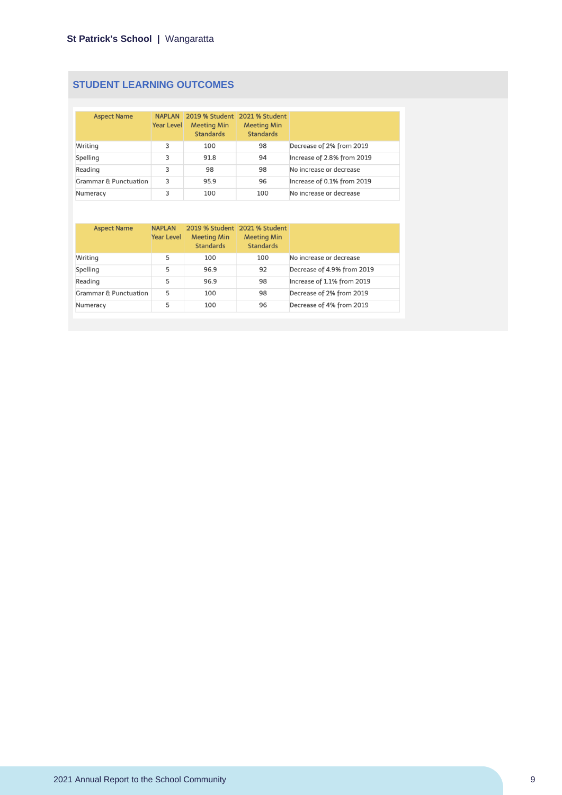#### **STUDENT LEARNING OUTCOMES**

| <b>Aspect Name</b>    | <b>NAPLAN</b><br><b>Year Level</b> | 2019 % Student 2021 % Student<br><b>Meeting Min</b><br><b>Standards</b> | <b>Meeting Min</b><br><b>Standards</b> |                            |
|-----------------------|------------------------------------|-------------------------------------------------------------------------|----------------------------------------|----------------------------|
| Writing               | 3                                  | 100                                                                     | 98                                     | Decrease of 2% from 2019   |
| Spelling              | 3                                  | 91.8                                                                    | 94                                     | Increase of 2.8% from 2019 |
| Reading               | 3                                  | 98                                                                      | 98                                     | No increase or decrease    |
| Grammar & Punctuation | 3                                  | 95.9                                                                    | 96                                     | Increase of 0.1% from 2019 |
| Numeracy              | 3                                  | 100                                                                     | 100                                    | No increase or decrease    |

| <b>Aspect Name</b>    | <b>NAPLAN</b><br><b>Year Level</b> | <b>Meeting Min</b><br><b>Standards</b> | 2019 % Student 2021 % Student<br><b>Meeting Min</b><br><b>Standards</b> |                            |
|-----------------------|------------------------------------|----------------------------------------|-------------------------------------------------------------------------|----------------------------|
| Writing               | 5                                  | 100                                    | 100                                                                     | No increase or decrease    |
| Spelling              | 5                                  | 96.9                                   | 92                                                                      | Decrease of 4.9% from 2019 |
| Reading               | 5                                  | 96.9                                   | 98                                                                      | Increase of 1.1% from 2019 |
| Grammar & Punctuation | 5                                  | 100                                    | 98                                                                      | Decrease of 2% from 2019   |
| Numeracy              | 5                                  | 100                                    | 96                                                                      | Decrease of 4% from 2019   |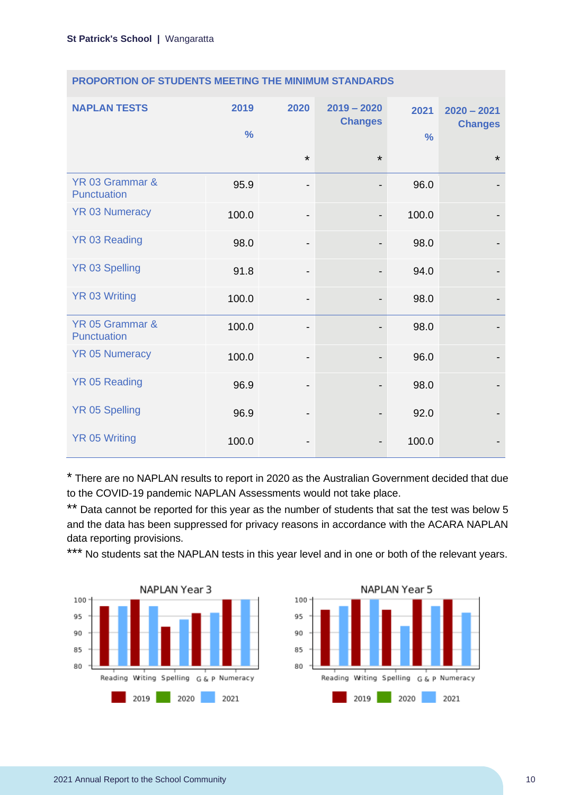| <b>NAPLAN TESTS</b>            | 2019<br>$\frac{0}{0}$ | 2020                         | $2019 - 2020$<br><b>Changes</b> | 2021<br>$\frac{0}{0}$ | $2020 - 2021$<br><b>Changes</b> |
|--------------------------------|-----------------------|------------------------------|---------------------------------|-----------------------|---------------------------------|
|                                |                       | $\star$                      | $\star$                         |                       | $\star$                         |
| YR 03 Grammar &<br>Punctuation | 95.9                  | $\overline{\phantom{a}}$     |                                 | 96.0                  |                                 |
| <b>YR 03 Numeracy</b>          | 100.0                 | -                            |                                 | 100.0                 |                                 |
| YR 03 Reading                  | 98.0                  | $\overline{\phantom{0}}$     |                                 | 98.0                  |                                 |
| <b>YR 03 Spelling</b>          | 91.8                  | $\qquad \qquad \blacksquare$ |                                 | 94.0                  |                                 |
| <b>YR 03 Writing</b>           | 100.0                 | $\overline{\phantom{0}}$     |                                 | 98.0                  |                                 |
| YR 05 Grammar &<br>Punctuation | 100.0                 | -                            |                                 | 98.0                  |                                 |
| <b>YR 05 Numeracy</b>          | 100.0                 | $\qquad \qquad \blacksquare$ |                                 | 96.0                  |                                 |
| <b>YR 05 Reading</b>           | 96.9                  | $\overline{\phantom{0}}$     |                                 | 98.0                  |                                 |
| <b>YR 05 Spelling</b>          | 96.9                  | -                            |                                 | 92.0                  |                                 |
| <b>YR 05 Writing</b>           | 100.0                 | -                            |                                 | 100.0                 |                                 |

#### **PROPORTION OF STUDENTS MEETING THE MINIMUM STANDARDS**

\* There are no NAPLAN results to report in 2020 as the Australian Government decided that due to the COVID-19 pandemic NAPLAN Assessments would not take place.

\*\* Data cannot be reported for this year as the number of students that sat the test was below 5 and the data has been suppressed for privacy reasons in accordance with the ACARA NAPLAN data reporting provisions.

\*\*\* No students sat the NAPLAN tests in this year level and in one or both of the relevant years.



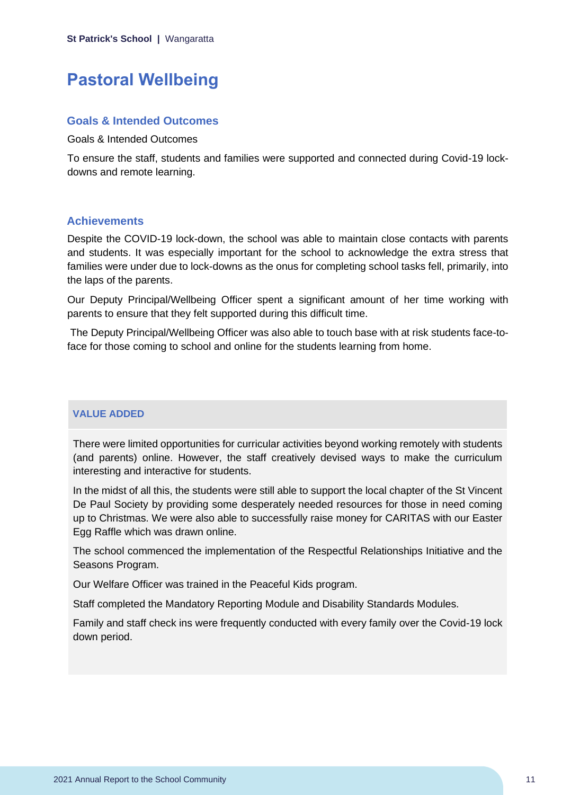### <span id="page-11-0"></span>**Pastoral Wellbeing**

#### **Goals & Intended Outcomes**

Goals & Intended Outcomes

To ensure the staff, students and families were supported and connected during Covid-19 lockdowns and remote learning.

#### **Achievements**

Despite the COVID-19 lock-down, the school was able to maintain close contacts with parents and students. It was especially important for the school to acknowledge the extra stress that families were under due to lock-downs as the onus for completing school tasks fell, primarily, into the laps of the parents.

Our Deputy Principal/Wellbeing Officer spent a significant amount of her time working with parents to ensure that they felt supported during this difficult time.

The Deputy Principal/Wellbeing Officer was also able to touch base with at risk students face-toface for those coming to school and online for the students learning from home.

#### **VALUE ADDED**

There were limited opportunities for curricular activities beyond working remotely with students (and parents) online. However, the staff creatively devised ways to make the curriculum interesting and interactive for students.

In the midst of all this, the students were still able to support the local chapter of the St Vincent De Paul Society by providing some desperately needed resources for those in need coming up to Christmas. We were also able to successfully raise money for CARITAS with our Easter Egg Raffle which was drawn online.

The school commenced the implementation of the Respectful Relationships Initiative and the Seasons Program.

Our Welfare Officer was trained in the Peaceful Kids program.

Staff completed the Mandatory Reporting Module and Disability Standards Modules.

Family and staff check ins were frequently conducted with every family over the Covid-19 lock down period.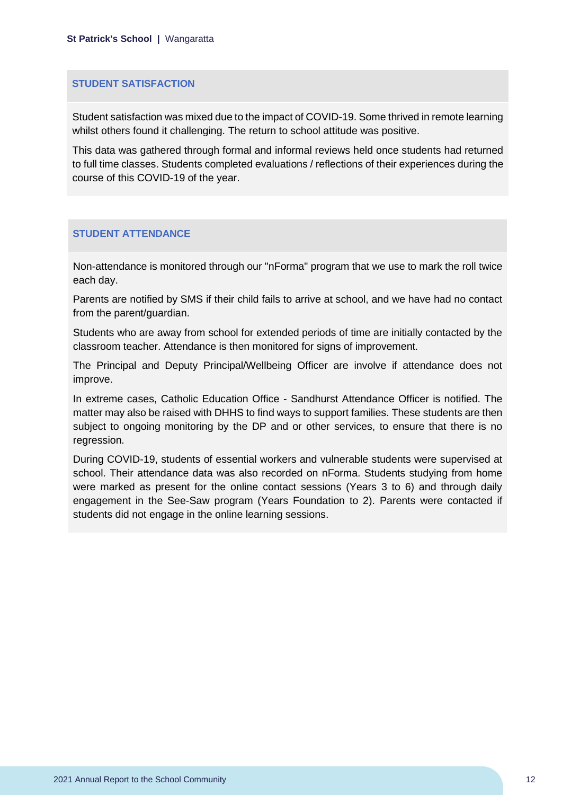#### **STUDENT SATISFACTION**

Student satisfaction was mixed due to the impact of COVID-19. Some thrived in remote learning whilst others found it challenging. The return to school attitude was positive.

This data was gathered through formal and informal reviews held once students had returned to full time classes. Students completed evaluations / reflections of their experiences during the course of this COVID-19 of the year.

#### **STUDENT ATTENDANCE**

Non-attendance is monitored through our "nForma" program that we use to mark the roll twice each day.

Parents are notified by SMS if their child fails to arrive at school, and we have had no contact from the parent/guardian.

Students who are away from school for extended periods of time are initially contacted by the classroom teacher. Attendance is then monitored for signs of improvement.

The Principal and Deputy Principal/Wellbeing Officer are involve if attendance does not improve.

In extreme cases, Catholic Education Office - Sandhurst Attendance Officer is notified. The matter may also be raised with DHHS to find ways to support families. These students are then subject to ongoing monitoring by the DP and or other services, to ensure that there is no regression.

During COVID-19, students of essential workers and vulnerable students were supervised at school. Their attendance data was also recorded on nForma. Students studying from home were marked as present for the online contact sessions (Years 3 to 6) and through daily engagement in the See-Saw program (Years Foundation to 2). Parents were contacted if students did not engage in the online learning sessions.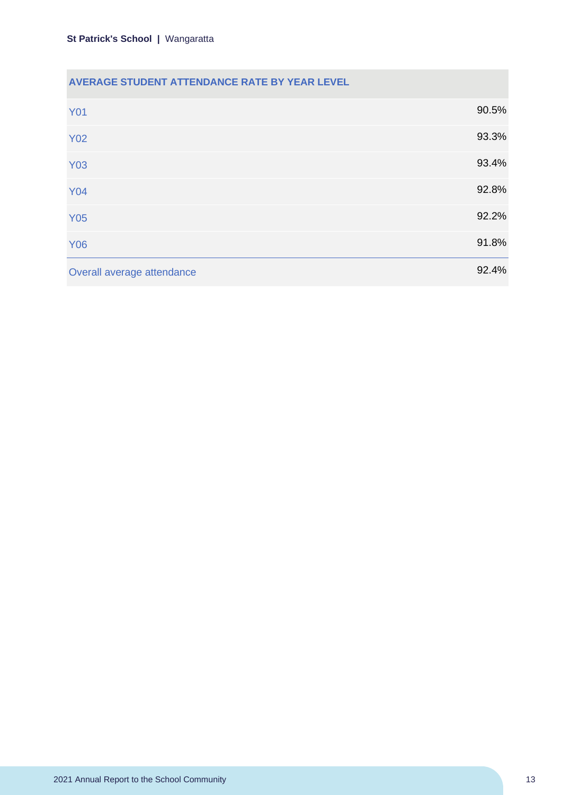#### **AVERAGE STUDENT ATTENDANCE RATE BY YEAR LEVEL**

| <b>Y01</b>                 | 90.5% |
|----------------------------|-------|
| <b>Y02</b>                 | 93.3% |
| <b>Y03</b>                 | 93.4% |
| <b>Y04</b>                 | 92.8% |
| <b>Y05</b>                 | 92.2% |
| <b>Y06</b>                 | 91.8% |
| Overall average attendance | 92.4% |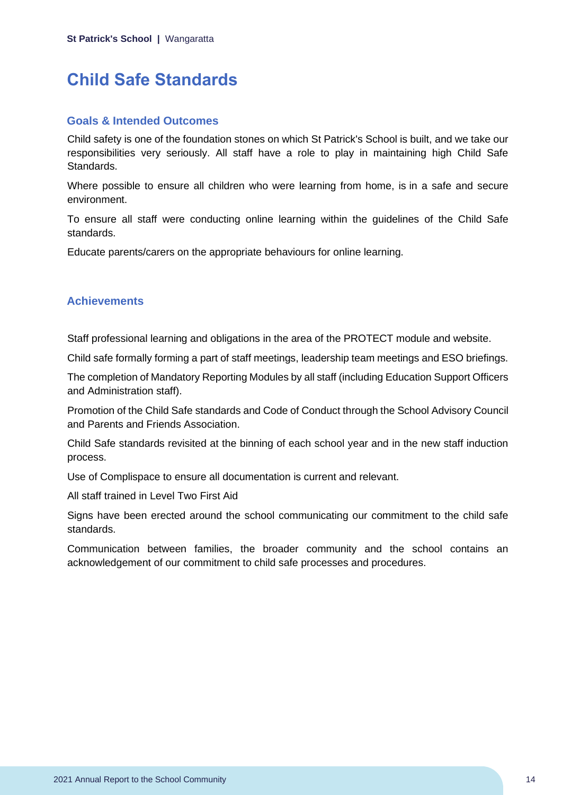### <span id="page-14-0"></span>**Child Safe Standards**

#### **Goals & Intended Outcomes**

Child safety is one of the foundation stones on which St Patrick's School is built, and we take our responsibilities very seriously. All staff have a role to play in maintaining high Child Safe Standards.

Where possible to ensure all children who were learning from home, is in a safe and secure environment.

To ensure all staff were conducting online learning within the guidelines of the Child Safe standards.

Educate parents/carers on the appropriate behaviours for online learning.

#### **Achievements**

Staff professional learning and obligations in the area of the PROTECT module and website.

Child safe formally forming a part of staff meetings, leadership team meetings and ESO briefings.

The completion of Mandatory Reporting Modules by all staff (including Education Support Officers and Administration staff).

Promotion of the Child Safe standards and Code of Conduct through the School Advisory Council and Parents and Friends Association.

Child Safe standards revisited at the binning of each school year and in the new staff induction process.

Use of Complispace to ensure all documentation is current and relevant.

All staff trained in Level Two First Aid

Signs have been erected around the school communicating our commitment to the child safe standards.

Communication between families, the broader community and the school contains an acknowledgement of our commitment to child safe processes and procedures.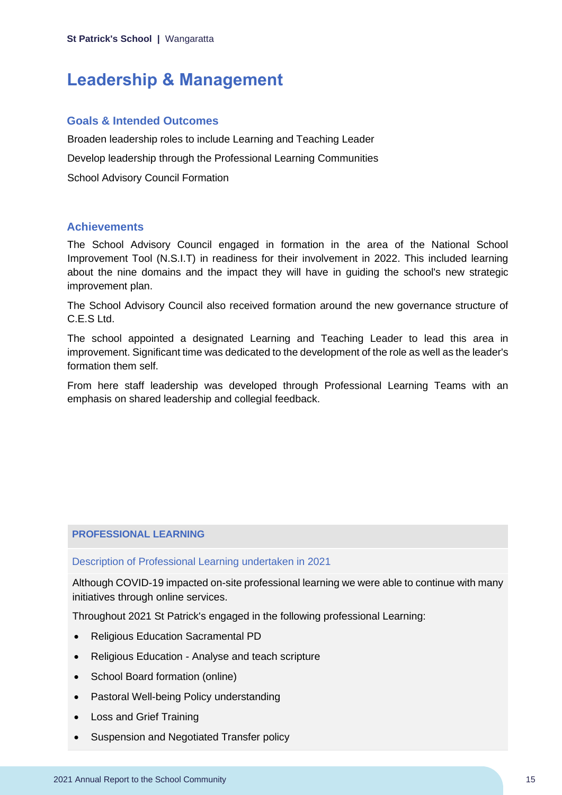### <span id="page-15-0"></span>**Leadership & Management**

#### **Goals & Intended Outcomes**

Broaden leadership roles to include Learning and Teaching Leader Develop leadership through the Professional Learning Communities School Advisory Council Formation

#### **Achievements**

The School Advisory Council engaged in formation in the area of the National School Improvement Tool (N.S.I.T) in readiness for their involvement in 2022. This included learning about the nine domains and the impact they will have in guiding the school's new strategic improvement plan.

The School Advisory Council also received formation around the new governance structure of C.E.S Ltd.

The school appointed a designated Learning and Teaching Leader to lead this area in improvement. Significant time was dedicated to the development of the role as well as the leader's formation them self.

From here staff leadership was developed through Professional Learning Teams with an emphasis on shared leadership and collegial feedback.

#### **PROFESSIONAL LEARNING**

Description of Professional Learning undertaken in 2021

Although COVID-19 impacted on-site professional learning we were able to continue with many initiatives through online services.

Throughout 2021 St Patrick's engaged in the following professional Learning:

- Religious Education Sacramental PD
- Religious Education Analyse and teach scripture
- School Board formation (online)
- Pastoral Well-being Policy understanding
- Loss and Grief Training
- Suspension and Negotiated Transfer policy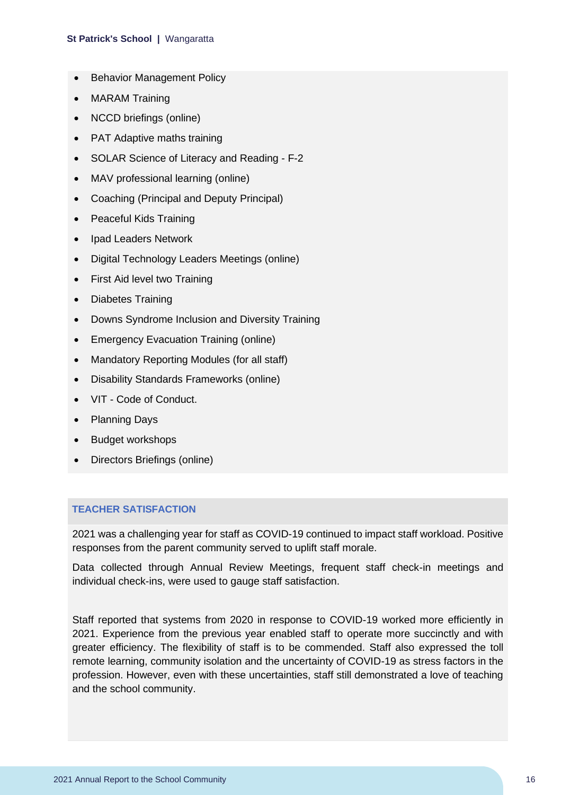#### **St Patrick's School |** Wangaratta

- Behavior Management Policy
- MARAM Training
- NCCD briefings (online)
- PAT Adaptive maths training
- SOLAR Science of Literacy and Reading F-2
- MAV professional learning (online)
- Coaching (Principal and Deputy Principal)
- Peaceful Kids Training
- Ipad Leaders Network
- Digital Technology Leaders Meetings (online)
- First Aid level two Training
- Diabetes Training
- Downs Syndrome Inclusion and Diversity Training
- Emergency Evacuation Training (online)
- Mandatory Reporting Modules (for all staff)
- Disability Standards Frameworks (online)
- VIT Code of Conduct.
- Planning Days
- Budget workshops
- Directors Briefings (online)

#### **TEACHER SATISFACTION**

2021 was a challenging year for staff as COVID-19 continued to impact staff workload. Positive responses from the parent community served to uplift staff morale.

Data collected through Annual Review Meetings, frequent staff check-in meetings and individual check-ins, were used to gauge staff satisfaction.

Staff reported that systems from 2020 in response to COVID-19 worked more efficiently in 2021. Experience from the previous year enabled staff to operate more succinctly and with greater efficiency. The flexibility of staff is to be commended. Staff also expressed the toll remote learning, community isolation and the uncertainty of COVID-19 as stress factors in the profession. However, even with these uncertainties, staff still demonstrated a love of teaching and the school community.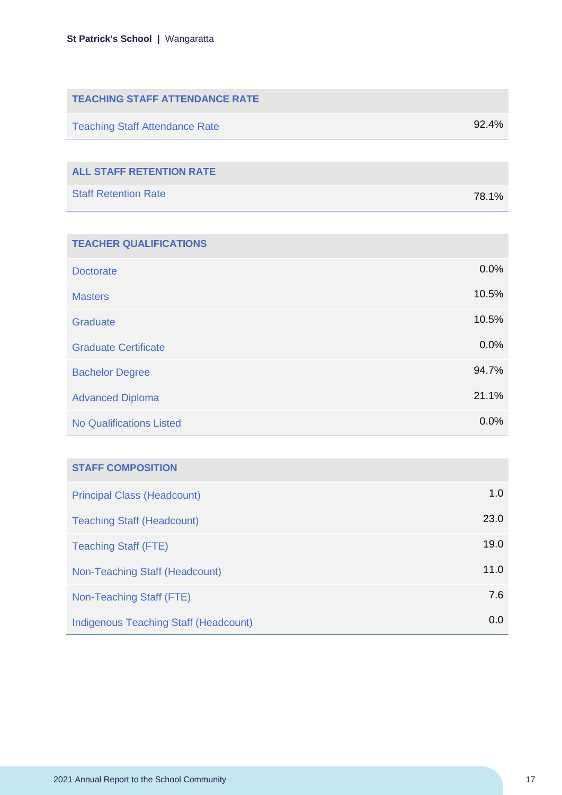| <b>TEACHING STAFF ATTENDANCE RATE</b>        |       |
|----------------------------------------------|-------|
| <b>Teaching Staff Attendance Rate</b>        | 92.4% |
|                                              |       |
| <b>ALL STAFF RETENTION RATE</b>              |       |
| <b>Staff Retention Rate</b>                  | 78.1% |
|                                              |       |
| <b>TEACHER QUALIFICATIONS</b>                |       |
| <b>Doctorate</b>                             | 0.0%  |
| <b>Masters</b>                               | 10.5% |
| Graduate                                     | 10.5% |
| <b>Graduate Certificate</b>                  | 0.0%  |
| <b>Bachelor Degree</b>                       | 94.7% |
| <b>Advanced Diploma</b>                      | 21.1% |
| <b>No Qualifications Listed</b>              | 0.0%  |
|                                              |       |
| <b>STAFF COMPOSITION</b>                     |       |
| <b>Principal Class (Headcount)</b>           | 1.0   |
| <b>Teaching Staff (Headcount)</b>            | 23.0  |
| <b>Teaching Staff (FTE)</b>                  | 19.0  |
| <b>Non-Teaching Staff (Headcount)</b>        | 11.0  |
| Non-Teaching Staff (FTE)                     | 7.6   |
| <b>Indigenous Teaching Staff (Headcount)</b> | 0.0   |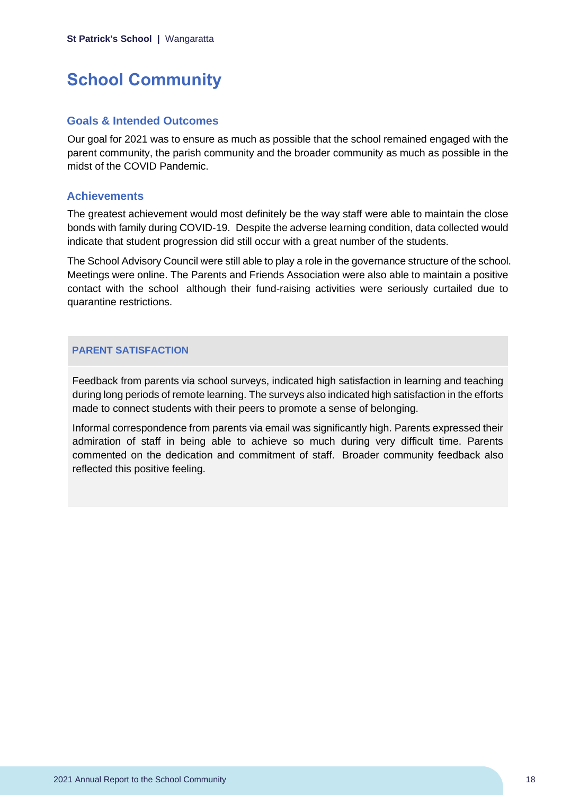### <span id="page-18-0"></span>**School Community**

#### **Goals & Intended Outcomes**

Our goal for 2021 was to ensure as much as possible that the school remained engaged with the parent community, the parish community and the broader community as much as possible in the midst of the COVID Pandemic.

#### **Achievements**

The greatest achievement would most definitely be the way staff were able to maintain the close bonds with family during COVID-19. Despite the adverse learning condition, data collected would indicate that student progression did still occur with a great number of the students.

The School Advisory Council were still able to play a role in the governance structure of the school. Meetings were online. The Parents and Friends Association were also able to maintain a positive contact with the school although their fund-raising activities were seriously curtailed due to quarantine restrictions.

#### **PARENT SATISFACTION**

Feedback from parents via school surveys, indicated high satisfaction in learning and teaching during long periods of remote learning. The surveys also indicated high satisfaction in the efforts made to connect students with their peers to promote a sense of belonging.

Informal correspondence from parents via email was significantly high. Parents expressed their admiration of staff in being able to achieve so much during very difficult time. Parents commented on the dedication and commitment of staff. Broader community feedback also reflected this positive feeling.